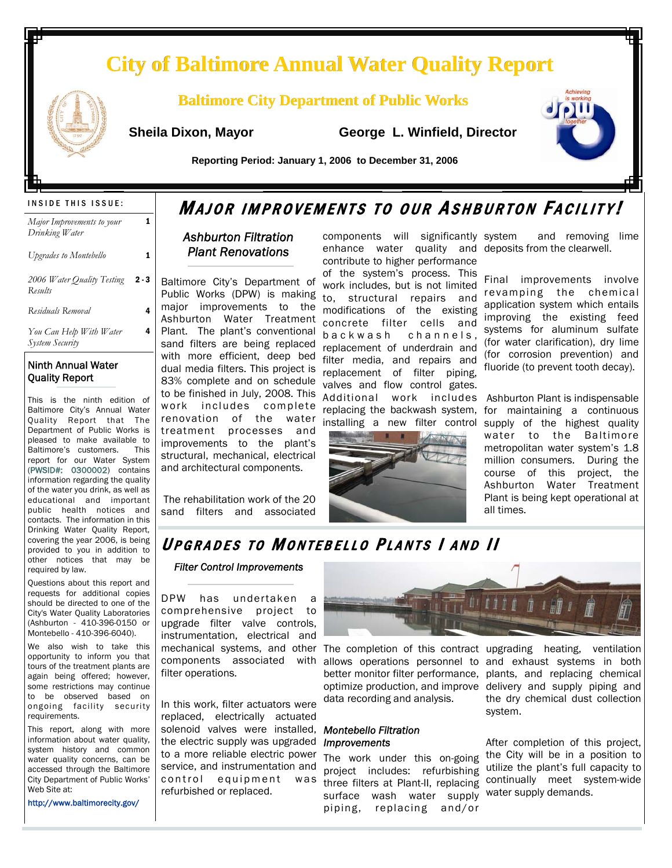# **City of Baltimore Annual Water Quality Report City of Baltimore Annual Water Quality Report**

## **Baltimore City Department of Public Works**

 **Sheila Dixon, Mayor George L. Winfield, Director**



 **Reporting Period: January 1, 2006 to December 31, 2006** 

| Major Improvements to your<br>Drinking Water |       |
|----------------------------------------------|-------|
| <b>Upgrades to Montebello</b>                |       |
| 2006 Water Quality Testing<br>Results        | 2 - 3 |
| Residuals Removal                            |       |
| You Can Help With Water<br>System Security   | 4     |

## Ninth Annual Water Quality Report

This is the ninth edition of Baltimore City's Annual Water Quality Report that The Department of Public Works is pleased to make available to Baltimore's customers. This report for our Water System (PWSID#: 0300002) contains information regarding the quality of the water you drink, as well as educational and important public health notices and contacts. The information in this Drinking Water Quality Report, covering the year 2006, is being provided to you in addition to other notices that may be required by law.

Questions about this report and requests for additional copies should be directed to one of the City's Water Quality Laboratories (Ashburton - 410-396-0150 or Montebello - 410-396-6040).

We also wish to take this opportunity to inform you that tours of the treatment plants are again being offered; however, some restrictions may continue to be observed based on ongoing facility security requirements.

This report, along with more information about water quality, system history and common water quality concerns, can be accessed through the Baltimore City Department of Public Works' Web Site at:

http://www.baltimorecity.gov/

# INSIDE THIS ISSUE:  $M_{AJOR}$  Improvements to our Ashburton Facility!

## *Ashburton Filtration Plant Renovations*

Baltimore City's Department of Public Works (DPW) is making major improvements to the Ashburton Water Treatment Plant. The plant's conventional sand filters are being replaced with more efficient, deep bed dual media filters. This project is 83% complete and on schedule to be finished in July, 2008. This work includes complete renovation of the water treatment processes and improvements to the plant's structural, mechanical, electrical and architectural components.

The rehabilitation work of the 20 sand filters and associated components will significantly enhance water quality and deposits from the clearwell. contribute to higher performance

of the system's process. This work includes, but is not limited to, structural repairs and modifications of the existing concrete filter cells and b a c k w a s h c h a n n e l s . replacement of underdrain and filter media, and repairs and replacement of filter piping, valves and flow control gates. Additional work includes Ashburton Plant is indispensable replacing the backwash system, for maintaining a continuous



and removing lime

Final improvements involve revamping the chemical application system which entails improving the existing feed systems for aluminum sulfate (for water clarification), dry lime (for corrosion prevention) and fluoride (to prevent tooth decay).

installing a new filter control supply of the highest quality water to the Baltimore metropolitan water system's 1.8 million consumers. During the course of this project, the Ashburton Water Treatment Plant is being kept operational at all times.

## UPGRADES TO MONTEBELLO PLANTS | AND | |

### *Filter Control Improvements*

DPW has undertaken a comprehensive project to upgrade filter valve controls, instrumentation, electrical and mechanical systems, and other The completion of this contract upgrading heating, ventilation components associated with allows operations personnel to and exhaust systems in both filter operations.

In this work, filter actuators were replaced, electrically actuated solenoid valves were installed, *Montebello Filtration*  the electric supply was upgraded *Improvements* to a more reliable electric power service, and instrumentation and control equipment was refurbished or replaced.



optimize production, and improve delivery and supply piping and data recording and analysis.

The work under this on-going project includes: refurbishing surface wash water supply water supply demands. piping, replacing and/or

better monitor filter performance, plants, and replacing chemical the dry chemical dust collection system.

three filters at Plant-II, replacing continually meet system-wide After completion of this project, the City will be in a position to utilize the plant's full capacity to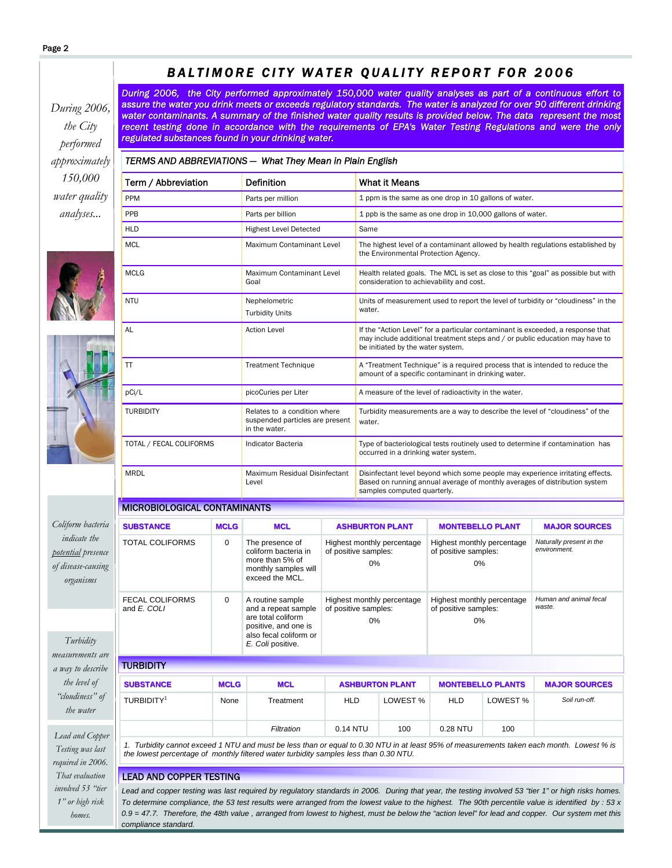### *the City 150,000 analyses...*  MICROBIOLOGICAL CONTAMINANTS *Turbidity*  **TURBIDITY** TOTAL COLIFORMS 0 The presence of coliform bacteria in more than 5% of monthly samples will exceed the MCL. Highest monthly percentage of positive samples: 0% Highest monthly percentage of positive samples: 0% *Naturally present in the environment.*  FECAL COLIFORMS and *E. COLI* 0 A routine sample and a repeat sample are total coliform positive, and one is also fecal coliform or *E. Coli* positive. Highest monthly percentage of positive samples: 0% Highest monthly percentage of positive samples: 0% *Human and animal fecal waste.*  **SUBSTANCE MCLG MCLC ASHBURTON PLANT MONTEBELLO PLANT MAJOR SOURCES** Term / Abbreviation Definition Definition What it Means **PPM** Parts per million 1 ppm is the same as one drop in 10 gallons of water. **PPB** Parts per billion 10,000 gallons of water. HLD **Highest Level Detected** Same MCL MAximum Contaminant Level The highest level of a contaminant allowed by health regulations established by the Environmental Protection Agency. MCLG MOLE Maximum Contaminant Level Goal Health related goals. The MCL is set as close to this "goal" as possible but with consideration to achievability and cost. NTU Nephelometric Turbidity Units Units of measurement used to report the level of turbidity or "cloudiness" in the water. Action Level **If the "Action Level"** for a particular contaminant is exceeded, a response that may include additional treatment steps and / or public education may have to be initiated by the water system. TT TREAD TREATMENT TECHNIQUE A "Treatment Technique" is a required process that is intended to reduce the amount of a specific contaminant in drinking water. pCi/L picoCuries per Liter A measure of the level of radioactivity in the water. *TERMS AND ABBREVIATIONS — What They Mean in Plain English*  TURBIDITY Relates to a condition where suspended particles are present in the water. Turbidity measurements are a way to describe the level of "cloudiness" of the water. TOTAL / FECAL COLIFORMS Indicator Bacteria Type of bacteriological tests routinely used to determine if contamination has occurred in a drinking water system. MRDL Maximum Residual Disinfectant Level Disinfectant level beyond which some people may experience irritating effects. Based on running annual average of monthly averages of distribution system samples computed quarterly. *Coliform bacteria indicate the organisms During 2006, the City performed approximately 150,000 water quality analyses as part of a continuous effort to 2006, the City performed 150,000 water quality analyses as part a continuous effort to*  assure the water you drink meets or exceeds regulatory standards. The water is analyzed for over 90 different drinking water contaminants. A summary of the finished water quality results is provided below. The data represent the most recent testing done in accordance with the requirements of EPA's Water Testing Regulations and were the only *regulated substances found in your drinking water. regulated substances found in your drinking water.*

*BALTIMORE CITY WATER QUALITY REPORT FOR 2006* 

*During 2006, performed approximately water quality* 





*potential presence of disease-causing* 

*measurements are a way to describe the level of "cloudiness" of the water* 

 *Lead and Copper Testing was last required in 2006. That evaluation involved 53 "tier 1" or high risk homes.* 

## TURBIDITY1 None Treatment HLD LOWEST % HLD LOWEST % Soil run-off. *Filtration* 0.14 NTU 100 0.28 NTU 100 100 *1. Turbidity cannot exceed 1 NTU and must be less than or equal to 0.30 NTU in at least 95% of measurements taken each month. Lowest % is*

**SUBSTANCE SUBSTANCE MCLG MCL ASHBURTON PLANT ASHBURTON PLANT MONTEBELLO PLANTS MONTEBELLO PLANTSMAJOR SOURCES MAJOR SOURCES**

*the lowest percentage of monthly filtered water turbidity samples less than 0.30 NTU.* 

## LEAD AND COPPER TESTING

*Lead and copper testing was last required by regulatory standards in 2006. During that year, the testing involved 53 "tier 1" or high risks homes. To determine compliance, the 53 test results were arranged from the lowest value to the highest. The 90th percentile value is identified by : 53 x 0.9 = 47.7. Therefore, the 48th value , arranged from lowest to highest, must be below the "action level" for lead and copper. Our system met this compliance standard.*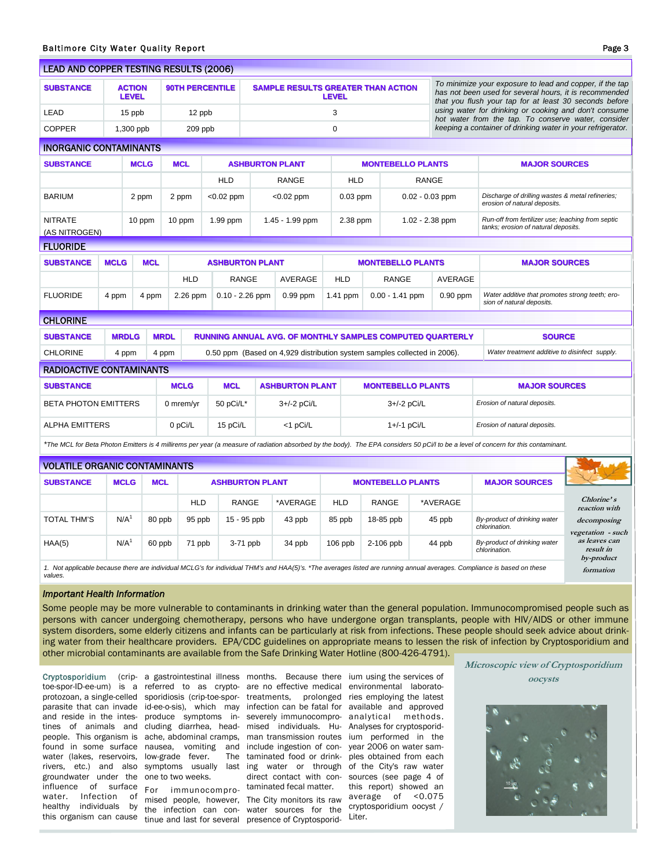| <b>LEAD AND COPPER TESTING RESULTS (2006)</b>                                                                                                                                      |                             |                               |                                                                  |                        |                        |                                                                          |                            |                                                             |                   |                                                                                                                                                                              |                                                                                                              |                                                                                          |                                  |  |  |
|------------------------------------------------------------------------------------------------------------------------------------------------------------------------------------|-----------------------------|-------------------------------|------------------------------------------------------------------|------------------------|------------------------|--------------------------------------------------------------------------|----------------------------|-------------------------------------------------------------|-------------------|------------------------------------------------------------------------------------------------------------------------------------------------------------------------------|--------------------------------------------------------------------------------------------------------------|------------------------------------------------------------------------------------------|----------------------------------|--|--|
| <b>SUBSTANCE</b>                                                                                                                                                                   |                             | <b>ACTION</b><br><b>LEVEL</b> |                                                                  | <b>90TH PERCENTILE</b> |                        | SAMPLE RESULTS GREATER THAN ACTION<br><b>LEVEL</b>                       |                            |                                                             |                   | To minimize your exposure to lead and copper, if the tap<br>has not been used for several hours, it is recommended<br>that you flush your tap for at least 30 seconds before |                                                                                                              |                                                                                          |                                  |  |  |
| LEAD                                                                                                                                                                               |                             | 15 ppb                        |                                                                  | 12 ppb                 |                        |                                                                          |                            | 3                                                           |                   |                                                                                                                                                                              | using water for drinking or cooking and don't consume<br>hot water from the tap. To conserve water, consider |                                                                                          |                                  |  |  |
| <b>COPPER</b><br>1,300 ppb                                                                                                                                                         |                             |                               | 209 ppb                                                          |                        | 0                      |                                                                          |                            | keeping a container of drinking water in your refrigerator. |                   |                                                                                                                                                                              |                                                                                                              |                                                                                          |                                  |  |  |
| <b>INORGANIC CONTAMINANTS</b>                                                                                                                                                      |                             |                               |                                                                  |                        |                        |                                                                          |                            |                                                             |                   |                                                                                                                                                                              |                                                                                                              |                                                                                          |                                  |  |  |
| <b>SUBSTANCE</b><br><b>MCLG</b>                                                                                                                                                    |                             |                               | <b>MCL</b>                                                       |                        | <b>ASHBURTON PLANT</b> |                                                                          | <b>MONTEBELLO PLANTS</b>   |                                                             |                   |                                                                                                                                                                              | <b>MAJOR SOURCES</b>                                                                                         |                                                                                          |                                  |  |  |
|                                                                                                                                                                                    |                             |                               |                                                                  | <b>HLD</b>             | <b>RANGE</b>           |                                                                          | <b>HLD</b><br><b>RANGE</b> |                                                             |                   |                                                                                                                                                                              |                                                                                                              |                                                                                          |                                  |  |  |
| <b>BARIUM</b>                                                                                                                                                                      | 2 ppm                       |                               |                                                                  | 2 ppm                  | $<$ 0.02 ppm           | $< 0.02$ ppm                                                             |                            | $0.03$ ppm                                                  | $0.02 - 0.03$ ppm |                                                                                                                                                                              |                                                                                                              | Discharge of drilling wastes & metal refineries;<br>erosion of natural deposits.         |                                  |  |  |
| <b>NITRATE</b><br>(AS NITROGEN)                                                                                                                                                    |                             | 10 ppm                        |                                                                  | 10 ppm                 | 1.99 ppm               |                                                                          | 1.45 - 1.99 ppm            | 2.38 ppm                                                    |                   |                                                                                                                                                                              | $1.02 - 2.38$ ppm                                                                                            | Run-off from fertilizer use; leaching from septic<br>tanks; erosion of natural deposits. |                                  |  |  |
| <b>FLUORIDE</b>                                                                                                                                                                    |                             |                               |                                                                  |                        |                        |                                                                          |                            |                                                             |                   |                                                                                                                                                                              |                                                                                                              |                                                                                          |                                  |  |  |
| <b>SUBSTANCE</b>                                                                                                                                                                   | <b>MCLG</b>                 |                               | <b>MCL</b>                                                       | <b>ASHBURTON PLANT</b> |                        |                                                                          |                            | <b>MONTEBELLO PLANTS</b>                                    |                   |                                                                                                                                                                              |                                                                                                              | <b>MAJOR SOURCES</b>                                                                     |                                  |  |  |
|                                                                                                                                                                                    |                             |                               |                                                                  | <b>HLD</b>             |                        | <b>RANGE</b>                                                             | <b>AVERAGE</b>             | <b>HLD</b>                                                  | <b>RANGE</b>      |                                                                                                                                                                              | AVERAGE                                                                                                      |                                                                                          |                                  |  |  |
| <b>FLUORIDE</b>                                                                                                                                                                    | 4 ppm                       |                               | 4 ppm                                                            | 2.26 ppm               |                        | $0.10 - 2.26$ ppm                                                        | $0.99$ ppm                 | 1.41 ppm                                                    | $0.00 - 1.41$ ppm |                                                                                                                                                                              | $0.90$ ppm                                                                                                   | Water additive that promotes strong teeth; ero-<br>sion of natural deposits.             |                                  |  |  |
| <b>CHLORINE</b>                                                                                                                                                                    |                             |                               |                                                                  |                        |                        |                                                                          |                            |                                                             |                   |                                                                                                                                                                              |                                                                                                              |                                                                                          |                                  |  |  |
| <b>SUBSTANCE</b>                                                                                                                                                                   | <b>MRDLG</b><br><b>MRDL</b> |                               | <b>RUNNING ANNUAL AVG. OF MONTHLY SAMPLES COMPUTED QUARTERLY</b> |                        |                        |                                                                          |                            |                                                             | <b>SOURCE</b>     |                                                                                                                                                                              |                                                                                                              |                                                                                          |                                  |  |  |
| <b>CHLORINE</b>                                                                                                                                                                    |                             | 4 ppm                         | 4 ppm                                                            |                        |                        | 0.50 ppm (Based on 4,929 distribution system samples collected in 2006). |                            |                                                             |                   |                                                                                                                                                                              | Water treatment additive to disinfect supply.                                                                |                                                                                          |                                  |  |  |
| <b>RADIOACTIVE CONTAMINANTS</b>                                                                                                                                                    |                             |                               |                                                                  |                        |                        |                                                                          |                            |                                                             |                   |                                                                                                                                                                              |                                                                                                              |                                                                                          |                                  |  |  |
| <b>SUBSTANCE</b>                                                                                                                                                                   |                             |                               | <b>MCLG</b>                                                      | <b>MCL</b>             | <b>ASHBURTON PLANT</b> |                                                                          |                            | <b>MONTEBELLO PLANTS</b>                                    |                   | <b>MAJOR SOURCES</b>                                                                                                                                                         |                                                                                                              |                                                                                          |                                  |  |  |
| <b>BETA PHOTON EMITTERS</b>                                                                                                                                                        |                             |                               | 0 mrem/yr                                                        | 50 pCi/L*              | 3+/-2 pCi/L            |                                                                          |                            | 3+/-2 pCi/L                                                 |                   |                                                                                                                                                                              | Erosion of natural deposits.                                                                                 |                                                                                          |                                  |  |  |
| <b>ALPHA EMITTERS</b>                                                                                                                                                              |                             |                               | 0 pCi/L                                                          | 15 pCi/L               | <1 pCi/L               |                                                                          |                            | 1+/-1 pCi/L                                                 |                   | Erosion of natural deposits.                                                                                                                                                 |                                                                                                              |                                                                                          |                                  |  |  |
| *The MCL for Beta Photon Emitters is 4 millirems per year (a measure of radiation absorbed by the body). The EPA considers 50 pCi/l to be a level of concern for this contaminant. |                             |                               |                                                                  |                        |                        |                                                                          |                            |                                                             |                   |                                                                                                                                                                              |                                                                                                              |                                                                                          |                                  |  |  |
| <b>VOLATILE ORGANIC CONTAMINANTS</b>                                                                                                                                               |                             |                               |                                                                  |                        |                        |                                                                          |                            |                                                             |                   |                                                                                                                                                                              |                                                                                                              |                                                                                          |                                  |  |  |
| <b>SUBSTANCE</b>                                                                                                                                                                   | <b>MCLG</b>                 |                               |                                                                  | <b>MCL</b>             |                        | <b>ASHBURTON PLANT</b>                                                   |                            | <b>MONTEBELLO PLANTS</b>                                    |                   |                                                                                                                                                                              | <b>MAJOR SOURCES</b>                                                                                         |                                                                                          |                                  |  |  |
|                                                                                                                                                                                    |                             |                               |                                                                  | <b>HLD</b>             |                        | <b>RANGE</b>                                                             | *AVERAGE                   | <b>HLD</b><br><b>RANGE</b>                                  |                   |                                                                                                                                                                              | *AVERAGE                                                                                                     |                                                                                          | Chlorine's<br>reaction with      |  |  |
| <b>TOTAL THM'S</b>                                                                                                                                                                 | N/A <sup>1</sup>            |                               | 80 ppb                                                           | 95 ppb                 |                        | 15 - 95 ppb                                                              | 43 ppb                     | 85 ppb                                                      | 18-85 ppb         |                                                                                                                                                                              | 45 ppb                                                                                                       | By-product of drinking water<br>chlorination.                                            | decomposing<br>vegetation - such |  |  |
| HAA(5)                                                                                                                                                                             | N/A <sup>1</sup>            |                               | 60 ppb                                                           | 71 ppb                 |                        | $3-71$ ppb                                                               | 34 ppb                     | $106$ ppb                                                   | 2-106 ppb         |                                                                                                                                                                              | 44 ppb                                                                                                       | By-product of drinking water<br>chlorination.                                            | as leaves can<br>result in       |  |  |

*Important Health Information* 

*values.* 

Some people may be more vulnerable to contaminants in drinking water than the general population. Immunocompromised people such as persons with cancer undergoing chemotherapy, persons who have undergone organ transplants, people with HIV/AIDS or other immune system disorders, some elderly citizens and infants can be particularly at risk from infections. These people should seek advice about drinking water from their healthcare providers. EPA/CDC guidelines on appropriate means to lessen the risk of infection by Cryptosporidium and other microbial contaminants are available from the Safe Drinking Water Hotline (800-426-4791).

water (lakes, reservoirs, low-grade fever. The groundwater under the one to two weeks. influence of surface For immunocompro-taminated fecal matter. water. Infection of mised people, however, The City monitors its raw healthy individuals by the infection can con-water sources for the

Cryptosporidium (crip- a gastrointestinal illness months. Because there ium using the services of toe-spor-ID-ee-um) is a referred to as crypto- are no effective medical environmental laboratoprotozoan, a single-celled sporidiosis (crip-toe-spor-treatments, prolonged ries employing the latest parasite that can invade id-ee-o-sis), which may infection can be fatal for available and approved and reside in the intes-produce symptoms in-severely immunocompro-analytical methods. tines of animals and cluding diarrhea, head- mised individuals. Hu- Analyses for cryptosporidpeople. This organism is ache, abdominal cramps, man transmission routes ium performed in the found in some surface nausea, vomiting and include ingestion of con- year 2006 on water samrivers, etc.) and also symptoms usually last ing water or through of the City's raw water taminated food or drink-ples obtained from each direct contact with con-sources (see page 4 of

1. Not applicable because there are individual MCLG's for individual THM's and HAA(5)'s. \*The averages listed are running annual averages. Compliance is based on these

this organism can cause tinue and last for several presence of Cryptosporid-

this report) showed an average of <0.075 cryptosporidium oocyst / Liter.

**Microscopic view of Cryptosporidium oocysts** 

**by-product formation**